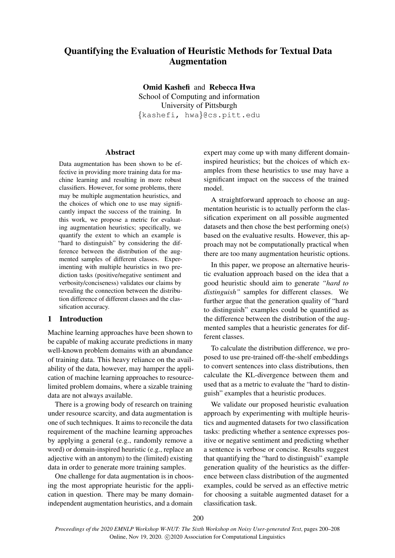# Quantifying the Evaluation of Heuristic Methods for Textual Data Augmentation

Omid Kashefi and Rebecca Hwa School of Computing and information University of Pittsburgh {kashefi, hwa}@cs.pitt.edu

# Abstract

Data augmentation has been shown to be effective in providing more training data for machine learning and resulting in more robust classifiers. However, for some problems, there may be multiple augmentation heuristics, and the choices of which one to use may significantly impact the success of the training. In this work, we propose a metric for evaluating augmentation heuristics; specifically, we quantify the extent to which an example is "hard to distinguish" by considering the difference between the distribution of the augmented samples of different classes. Experimenting with multiple heuristics in two prediction tasks (positive/negative sentiment and verbosity/conciseness) validates our claims by revealing the connection between the distribution difference of different classes and the classification accuracy.

#### 1 Introduction

Machine learning approaches have been shown to be capable of making accurate predictions in many well-known problem domains with an abundance of training data. This heavy reliance on the availability of the data, however, may hamper the application of machine learning approaches to resourcelimited problem domains, where a sizable training data are not always available.

There is a growing body of research on training under resource scarcity, and data augmentation is one of such techniques. It aims to reconcile the data requirement of the machine learning approaches by applying a general (e.g., randomly remove a word) or domain-inspired heuristic (e.g., replace an adjective with an antonym) to the (limited) existing data in order to generate more training samples.

One challenge for data augmentation is in choosing the most appropriate heuristic for the application in question. There may be many domainindependent augmentation heuristics, and a domain

expert may come up with many different domaininspired heuristics; but the choices of which examples from these heuristics to use may have a significant impact on the success of the trained model.

A straightforward approach to choose an augmentation heuristic is to actually perform the classification experiment on all possible augmented datasets and then chose the best performing one(s) based on the evaluative results. However, this approach may not be computationally practical when there are too many augmentation heuristic options.

In this paper, we propose an alternative heuristic evaluation approach based on the idea that a good heuristic should aim to generate *"hard to distinguish"* samples for different classes. We further argue that the generation quality of "hard to distinguish" examples could be quantified as the difference between the distribution of the augmented samples that a heuristic generates for different classes.

To calculate the distribution difference, we proposed to use pre-trained off-the-shelf embeddings to convert sentences into class distributions, then calculate the KL-divergence between them and used that as a metric to evaluate the "hard to distinguish" examples that a heuristic produces.

We validate our proposed heuristic evaluation approach by experimenting with multiple heuristics and augmented datasets for two classification tasks: predicting whether a sentence expresses positive or negative sentiment and predicting whether a sentence is verbose or concise. Results suggest that quantifying the "hard to distinguish" example generation quality of the heuristics as the difference between class distribution of the augmented examples, could be served as an effective metric for choosing a suitable augmented dataset for a classification task.

200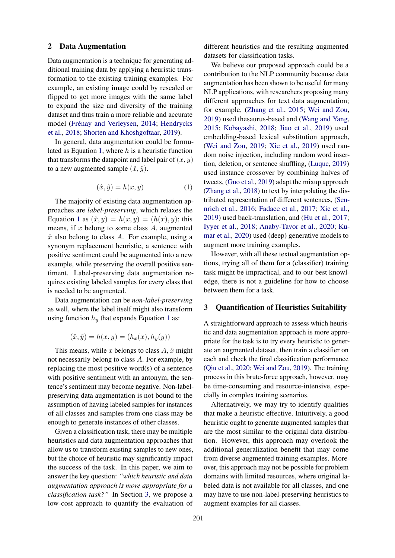#### 2 Data Augmentation

Data augmentation is a technique for generating additional training data by applying a heuristic transformation to the existing training examples. For example, an existing image could by rescaled or flipped to get more images with the same label to expand the size and diversity of the training dataset and thus train a more reliable and accurate model (Frénay and Verleysen, [2014;](#page-7-0) [Hendrycks](#page-7-1) [et al.,](#page-7-1) [2018;](#page-7-1) [Shorten and Khoshgoftaar,](#page-8-0) [2019\)](#page-8-0).

In general, data augmentation could be formu-lated as Equation [1,](#page-1-0) where  $h$  is a heuristic function that transforms the datapoint and label pair of  $(x, y)$ to a new augmented sample  $(\hat{x}, \hat{y})$ .

$$
(\hat{x}, \hat{y}) = h(x, y) \tag{1}
$$

<span id="page-1-0"></span>The majority of existing data augmentation approaches are *label-preserving*, which relaxes the Equation [1](#page-1-0) as  $(\hat{x}, y) = h(x, y) = (h(x), y)$ ; this means, if  $x$  belong to some class  $A$ , augmented  $\hat{x}$  also belong to class A. For example, using a synonym replacement heuristic, a sentence with positive sentiment could be augmented into a new example, while preserving the overall positive sentiment. Label-preserving data augmentation requires existing labeled samples for every class that is needed to be augmented.

Data augmentation can be *non-label-preserving* as well, where the label itself might also transform using function  $h_y$  that expands Equation [1](#page-1-0) as:

$$
(\hat{x}, \hat{y}) = h(x, y) = (h_x(x), h_y(y))
$$

This means, while x belongs to class  $A$ ,  $\hat{x}$  might not necessarily belong to class A. For example, by replacing the most positive word(s) of a sentence with positive sentiment with an antonym, the sentence's sentiment may become negative. Non-labelpreserving data augmentation is not bound to the assumption of having labeled samples for instances of all classes and samples from one class may be enough to generate instances of other classes.

Given a classification task, there may be multiple heuristics and data augmentation approaches that allow us to transform existing samples to new ones, but the choice of heuristic may significantly impact the success of the task. In this paper, we aim to answer the key question: *"which heuristic and data augmentation approach is more appropriate for a classification task?"* In Section [3,](#page-1-1) we propose a low-cost approach to quantify the evaluation of different heuristics and the resulting augmented datasets for classification tasks.

We believe our proposed approach could be a contribution to the NLP community because data augmentation has been shown to be useful for many NLP applications, with researchers proposing many different approaches for text data augmentation; for example, [\(Zhang et al.,](#page-8-1) [2015;](#page-8-1) [Wei and Zou,](#page-8-2) [2019\)](#page-8-2) used thesaurus-based and [\(Wang and Yang,](#page-8-3) [2015;](#page-8-3) [Kobayashi,](#page-7-2) [2018;](#page-7-2) [Jiao et al.,](#page-7-3) [2019\)](#page-7-3) used embedding-based lexical substitution approach, [\(Wei and Zou,](#page-8-2) [2019;](#page-8-2) [Xie et al.,](#page-8-4) [2019\)](#page-8-4) used random noise injection, including random word insertion, deletion, or sentence shuffling, [\(Luque,](#page-8-5) [2019\)](#page-8-5) used instance crossover by combining halves of tweets, [\(Guo et al.,](#page-7-4) [2019\)](#page-7-4) adapt the mixup approach [\(Zhang et al.,](#page-8-6) [2018\)](#page-8-6) to text by interpolating the distributed representation of different sentences, [\(Sen](#page-8-7)[nrich et al.,](#page-8-7) [2016;](#page-8-7) [Fadaee et al.,](#page-7-5) [2017;](#page-7-5) [Xie et al.,](#page-8-4) [2019\)](#page-8-4) used back-translation, and [\(Hu et al.,](#page-7-6) [2017;](#page-7-6) [Iyyer et al.,](#page-7-7) [2018;](#page-7-7) [Anaby-Tavor et al.,](#page-7-8) [2020;](#page-7-8) [Ku](#page-7-9)[mar et al.,](#page-7-9) [2020\)](#page-7-9) used (deep) generative models to augment more training examples.

However, with all these textual augmentation options, trying all of them for a (classifier) training task might be impractical, and to our best knowledge, there is not a guideline for how to choose between them for a task.

# <span id="page-1-1"></span>3 Quantification of Heuristics Suitability

A straightforward approach to assess which heuristic and data augmentation approach is more appropriate for the task is to try every heuristic to generate an augmented dataset, then train a classifier on each and check the final classification performance [\(Qiu et al.,](#page-8-8) [2020;](#page-8-8) [Wei and Zou,](#page-8-2) [2019\)](#page-8-2). The training process in this brute-force approach, however, may be time-consuming and resource-intensive, especially in complex training scenarios.

Alternatively, we may try to identify qualities that make a heuristic effective. Intuitively, a good heuristic ought to generate augmented samples that are the most similar to the original data distribution. However, this approach may overlook the additional generalization benefit that may come from diverse augmented training examples. Moreover, this approach may not be possible for problem domains with limited resources, where original labeled data is not available for all classes, and one may have to use non-label-preserving heuristics to augment examples for all classes.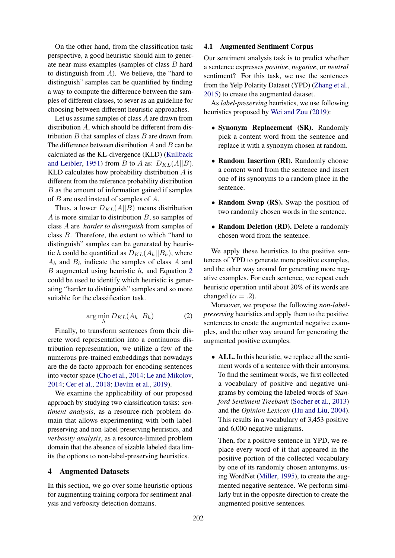On the other hand, from the classification task perspective, a good heuristic should aim to generate near-miss examples (samples of class B hard to distinguish from  $A$ ). We believe, the "hard to distinguish" samples can be quantified by finding a way to compute the difference between the samples of different classes, to sever as an guideline for choosing between different heuristic approaches.

Let us assume samples of class A are drawn from distribution A, which should be different from distribution  $B$  that samples of class  $B$  are drawn from. The difference between distribution  $A$  and  $B$  can be calculated as the KL-divergence (KLD) [\(Kullback](#page-7-10) [and Leibler,](#page-7-10) [1951\)](#page-7-10) from B to A as:  $D_{KL}(A||B)$ . KLD calculates how probability distribution A is different from the reference probability distribution B as the amount of information gained if samples of B are used instead of samples of A.

Thus, a lower  $D_{KL}(A||B)$  means distribution A is more similar to distribution  $B$ , so samples of class A are *harder to distinguish* from samples of class B. Therefore, the extent to which "hard to distinguish" samples can be generated by heuristic h could be quantified as  $D_{KL}(A_h||B_h)$ , where  $A_h$  and  $B_h$  indicate the samples of class A and  $B$  augmented using heuristic  $h$ , and Equation [2](#page-2-0) could be used to identify which heuristic is generating "harder to distinguish" samples and so more suitable for the classification task.

$$
\arg\min_{h} D_{KL}(A_h || B_h) \tag{2}
$$

<span id="page-2-0"></span>Finally, to transform sentences from their discrete word representation into a continuous distribution representation, we utilize a few of the numerous pre-trained embeddings that nowadays are the de facto approach for encoding sentences into vector space [\(Cho et al.,](#page-7-11) [2014;](#page-7-11) [Le and Mikolov,](#page-7-12) [2014;](#page-7-12) [Cer et al.,](#page-7-13) [2018;](#page-7-13) [Devlin et al.,](#page-7-14) [2019\)](#page-7-14).

We examine the applicability of our proposed approach by studying two classification tasks: *sentiment analysis*, as a resource-rich problem domain that allows experimenting with both labelpreserving and non-label-preserving heuristics, and *verbosity analysis*, as a resource-limited problem domain that the absence of sizable labeled data limits the options to non-label-preserving heuristics.

#### 4 Augmented Datasets

In this section, we go over some heuristic options for augmenting training corpora for sentiment analysis and verbosity detection domains.

#### 4.1 Augmented Sentiment Corpus

Our sentiment analysis task is to predict whether a sentence expresses *positive*, *negative*, or *neutral* sentiment? For this task, we use the sentences from the Yelp Polarity Dataset (YPD) [\(Zhang et al.,](#page-8-1) [2015\)](#page-8-1) to create the augmented dataset.

As *label-preserving* heuristics, we use following heuristics proposed by [Wei and Zou](#page-8-2) [\(2019\)](#page-8-2):

- Synonym Replacement (SR). Randomly pick a content word from the sentence and replace it with a synonym chosen at random.
- Random Insertion (RI). Randomly choose a content word from the sentence and insert one of its synonyms to a random place in the sentence.
- Random Swap (RS). Swap the position of two randomly chosen words in the sentence.
- Random Deletion (RD). Delete a randomly chosen word from the sentence.

We apply these heuristics to the positive sentences of YPD to generate more positive examples, and the other way around for generating more negative examples. For each sentence, we repeat each heuristic operation until about 20% of its words are changed ( $\alpha = .2$ ).

Moreover, we propose the following *non-labelpreserving* heuristics and apply them to the positive sentences to create the augmented negative examples, and the other way around for generating the augmented positive examples.

• ALL. In this heuristic, we replace all the sentiment words of a sentence with their antonyms. To find the sentiment words, we first collected a vocabulary of positive and negative unigrams by combing the labeled words of *Stanford Sentiment Treebank* [\(Socher et al.,](#page-8-9) [2013\)](#page-8-9) and the *Opinion Lexicon* [\(Hu and Liu,](#page-7-15) [2004\)](#page-7-15). This results in a vocabulary of 3,453 positive and 6,000 negative unigrams.

Then, for a positive sentence in YPD, we replace every word of it that appeared in the positive portion of the collected vocabulary by one of its randomly chosen antonyms, using WordNet [\(Miller,](#page-8-10) [1995\)](#page-8-10), to create the augmented negative sentence. We perform similarly but in the opposite direction to create the augmented positive sentences.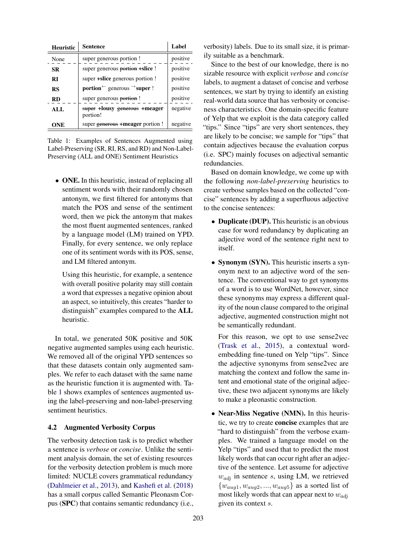<span id="page-3-0"></span>

| <b>Heuristic</b> | Sentence                                                          | Label    |
|------------------|-------------------------------------------------------------------|----------|
| None             | super generous portion !                                          | positive |
| <b>SR</b>        | super generous portion + slice !                                  | positive |
| RI               | super <b>+slice</b> generous portion !                            | positive |
| <b>RS</b>        | <b>portion</b> $\leftarrow$ generous $\rightarrow$ <b>super</b> ! | positive |
| <b>RD</b>        | super generous portion!                                           | positive |
| ALL              | super +lousy generous +meager<br>portion!                         | negative |
| ONE              | super generous + meager portion!                                  | negative |

Table 1: Examples of Sentences Augmented using Label-Preserving (SR, RI, RS, and RD) and Non-Label-Preserving (ALL and ONE) Sentiment Heuristics

• ONE. In this heuristic, instead of replacing all sentiment words with their randomly chosen antonym, we first filtered for antonyms that match the POS and sense of the sentiment word, then we pick the antonym that makes the most fluent augmented sentences, ranked by a language model (LM) trained on YPD. Finally, for every sentence, we only replace one of its sentiment words with its POS, sense, and LM filtered antonym.

Using this heuristic, for example, a sentence with overall positive polarity may still contain a word that expresses a negative opinion about an aspect, so intuitively, this creates "harder to distinguish" examples compared to the ALL heuristic.

In total, we generated 50K positive and 50K negative augmented samples using each heuristic. We removed all of the original YPD sentences so that these datasets contain only augmented samples. We refer to each dataset with the same name as the heuristic function it is augmented with. Table [1](#page-3-0) shows examples of sentences augmented using the label-preserving and non-label-preserving sentiment heuristics.

#### 4.2 Augmented Verbosity Corpus

The verbosity detection task is to predict whether a sentence is *verbose* or *concise*. Unlike the sentiment analysis domain, the set of existing resources for the verbosity detection problem is much more limited: NUCLE covers grammatical redundancy [\(Dahlmeier et al.,](#page-7-16) [2013\)](#page-7-16), and [Kashefi et al.](#page-7-17) [\(2018\)](#page-7-17) has a small corpus called Semantic Pleonasm Corpus (SPC) that contains semantic redundancy (i.e., verbosity) labels. Due to its small size, it is primarily suitable as a benchmark.

Since to the best of our knowledge, there is no sizable resource with explicit *verbose* and *concise* labels, to augment a dataset of concise and verbose sentences, we start by trying to identify an existing real-world data source that has verbosity or conciseness characteristics. One domain-specific feature of Yelp that we exploit is the data category called "tips." Since "tips" are very short sentences, they are likely to be concise; we sample for "tips" that contain adjectives because the evaluation corpus (i.e. SPC) mainly focuses on adjectival semantic redundancies.

Based on domain knowledge, we come up with the following *non-label-preserving* heuristics to create verbose samples based on the collected "concise" sentences by adding a superfluous adjective to the concise sentences:

- Duplicate (DUP). This heuristic is an obvious case for word redundancy by duplicating an adjective word of the sentence right next to itself.
- Synonym (SYN). This heuristic inserts a synonym next to an adjective word of the sentence. The conventional way to get synonyms of a word is to use WordNet, however, since these synonyms may express a different quality of the noun clause compared to the original adjective, augmented construction might not be semantically redundant.

For this reason, we opt to use sense2vec [\(Trask et al.,](#page-8-11) [2015\)](#page-8-11), a contextual wordembedding fine-tuned on Yelp "tips". Since the adjective synonyms from sense2vec are matching the context and follow the same intent and emotional state of the original adjective, these two adjacent synonyms are likely to make a pleonastic construction.

• Near-Miss Negative (NMN). In this heuristic, we try to create concise examples that are "hard to distinguish" from the verbose examples. We trained a language model on the Yelp "tips" and used that to predict the most likely words that can occur right after an adjective of the sentence. Let assume for adjective  $w_{\text{adj}}$  in sentence s, using LM, we retrieved  $\{w_{aug1}, w_{aug2}, ..., w_{aug5}\}\$ as a sorted list of most likely words that can appear next to  $w_{adj}$ given its context s.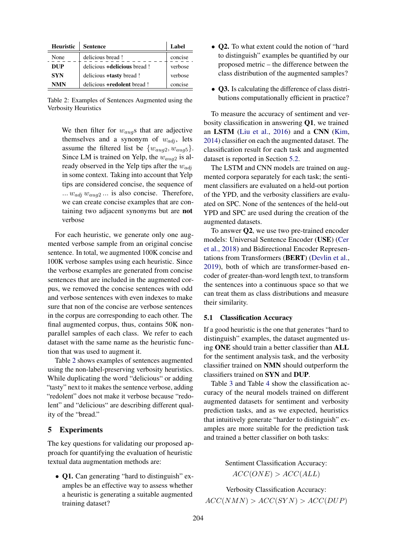<span id="page-4-0"></span>

| <b>Heuristic</b> | <b>Sentence</b>                     | Label   |
|------------------|-------------------------------------|---------|
| None             | delicious bread!                    | concise |
| DUP              | delicious <b>+delicious</b> bread ! | verbose |
| <b>SYN</b>       | delicious <b>+tasty</b> bread !     | verbose |
| <b>NMN</b>       | delicious <b>+redolent</b> bread !  | concise |

Table 2: Examples of Sentences Augmented using the Verbosity Heuristics

We then filter for  $w_{aug}$ s that are adjective themselves and a synonym of  $w_{adj}$ , lets assume the filtered list be  $\{w_{aug2}, w_{aug5}\}.$ Since LM is trained on Yelp, the  $w_{aug2}$  is already observed in the Yelp tips after the  $w_{adj}$ in some context. Taking into account that Yelp tips are considered concise, the sequence of ...  $w_{adj}$   $w_{aug2}$  ... is also concise. Therefore, we can create concise examples that are containing two adjacent synonyms but are not verbose

For each heuristic, we generate only one augmented verbose sample from an original concise sentence. In total, we augmented 100K concise and 100K verbose samples using each heuristic. Since the verbose examples are generated from concise sentences that are included in the augmented corpus, we removed the concise sentences with odd and verbose sentences with even indexes to make sure that non of the concise are verbose sentences in the corpus are corresponding to each other. The final augmented corpus, thus, contains 50K nonparallel samples of each class. We refer to each dataset with the same name as the heuristic function that was used to augment it.

Table [2](#page-4-0) shows examples of sentences augmented using the non-label-preserving verbosity heuristics. While duplicating the word "delicious" or adding "tasty" next to it makes the sentence verbose, adding "redolent" does not make it verbose because "redolent" and "delicious" are describing different quality of the "bread."

#### 5 Experiments

The key questions for validating our proposed approach for quantifying the evaluation of heuristic textual data augmentation methods are:

• Q1. Can generating "hard to distinguish" examples be an effective way to assess whether a heuristic is generating a suitable augmented training dataset?

- Q2. To what extent could the notion of "hard to distinguish" examples be quantified by our proposed metric – the difference between the class distribution of the augmented samples?
- Q3. Is calculating the difference of class distributions computationally efficient in practice?

To measure the accuracy of sentiment and verbosity classification in answering Q1, we trained an LSTM [\(Liu et al.,](#page-7-18) [2016\)](#page-7-18) and a CNN [\(Kim,](#page-7-19) [2014\)](#page-7-19) classifier on each the augmented dataset. The classification result for each task and augmented dataset is reported in Section [5.2.](#page-5-0)

The LSTM and CNN models are trained on augmented corpora separately for each task; the sentiment classifiers are evaluated on a held-out portion of the YPD, and the verbosity classifiers are evaluated on SPC. None of the sentences of the held-out YPD and SPC are used during the creation of the augmented datasets.

To answer Q2, we use two pre-trained encoder models: Universal Sentence Encoder (USE) [\(Cer](#page-7-13) [et al.,](#page-7-13) [2018\)](#page-7-13) and Bidirectional Encoder Representations from Transformers (BERT) [\(Devlin et al.,](#page-7-14) [2019\)](#page-7-14), both of which are transformer-based encoder of greater-than-word length text, to transform the sentences into a continuous space so that we can treat them as class distributions and measure their similarity.

#### 5.1 Classification Accuracy

If a good heuristic is the one that generates "hard to distinguish" examples, the dataset augmented using ONE should train a better classifier than ALL for the sentiment analysis task, and the verbosity classifier trained on NMN should outperform the classifiers trained on SYN and DUP.

Table [3](#page-5-1) and Table [4](#page-5-2) show the classification accuracy of the neural models trained on different augmented datasets for sentiment and verbosity prediction tasks, and as we expected, heuristics that intuitively generate "harder to distinguish" examples are more suitable for the prediction task and trained a better classifier on both tasks:

> Sentiment Classification Accuracy:  $ACC(ONE) > ACC(ALL)$

Verbosity Classification Accuracy:  $ACC(NMN) > ACC(SYN) > ACC(DUP)$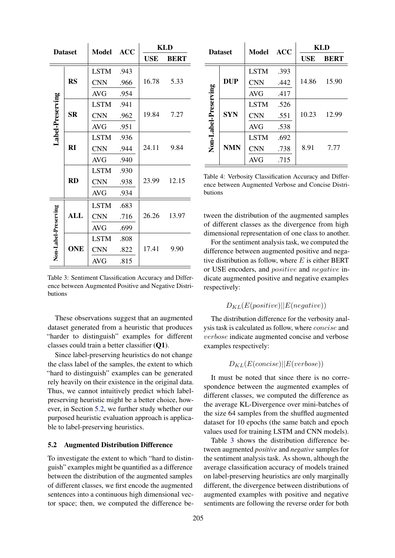<span id="page-5-1"></span>

| <b>Dataset</b>       |            | <b>ACC</b><br><b>Model</b> | <b>KLD</b> |            |             |
|----------------------|------------|----------------------------|------------|------------|-------------|
|                      |            |                            |            | <b>USE</b> | <b>BERT</b> |
|                      |            | <b>LSTM</b>                | .943       |            |             |
|                      | <b>RS</b>  | <b>CNN</b>                 | .966       | 16.78      | 5.33        |
|                      |            | <b>AVG</b>                 | .954       |            |             |
|                      | <b>SR</b>  | <b>LSTM</b>                | .941       |            | 7.27        |
| Label-Preserving     |            | <b>CNN</b>                 | .962       | 19.84      |             |
|                      |            | <b>AVG</b>                 | .951       |            |             |
|                      | RI         | <b>LSTM</b>                | .936       |            | 9.84        |
|                      |            | <b>CNN</b>                 | .944       | 24.11      |             |
|                      |            | <b>AVG</b>                 | .940       |            |             |
|                      | <b>RD</b>  | <b>LSTM</b>                | .930       |            |             |
|                      |            | <b>CNN</b>                 | .938       | 23.99      | 12.15       |
|                      |            | <b>AVG</b>                 | .934       |            |             |
| Non-Label-Preserving | <b>ALL</b> | <b>LSTM</b>                | .683       |            |             |
|                      |            | <b>CNN</b>                 | .716       | 26.26      | 13.97       |
|                      |            | <b>AVG</b>                 | .699       |            |             |
|                      | <b>ONE</b> | <b>LSTM</b>                | .808       |            |             |
|                      |            | <b>CNN</b>                 | .822       | 17.41      | 9.90        |
|                      |            | <b>AVG</b>                 | .815       |            |             |

Table 3: Sentiment Classification Accuracy and Difference between Augmented Positive and Negative Distributions

These observations suggest that an augmented dataset generated from a heuristic that produces "harder to distinguish" examples for different classes could train a better classifier (Q1).

Since label-preserving heuristics do not change the class label of the samples, the extent to which "hard to distinguish" examples can be generated rely heavily on their existence in the original data. Thus, we cannot intuitively predict which labelpreserving heuristic might be a better choice, however, in Section [5.2,](#page-5-0) we further study whether our purposed heuristic evaluation approach is applicable to label-preserving heuristics.

#### <span id="page-5-0"></span>5.2 Augmented Distribution Difference

To investigate the extent to which "hard to distinguish" examples might be quantified as a difference between the distribution of the augmented samples of different classes, we first encode the augmented sentences into a continuous high dimensional vector space; then, we computed the difference be-

<span id="page-5-2"></span>

| <b>Dataset</b>       |            | Model ACC   |      | <b>KLD</b> |             |
|----------------------|------------|-------------|------|------------|-------------|
|                      |            |             |      | <b>USE</b> | <b>BERT</b> |
|                      | <b>DUP</b> | <b>LSTM</b> | .393 |            |             |
|                      |            | <b>CNN</b>  | .442 | 14.86      | 15.90       |
|                      |            | AVG         | .417 |            |             |
| Non-Label-Preserving | <b>SYN</b> | <b>LSTM</b> | .526 |            |             |
|                      |            | <b>CNN</b>  | .551 | 10.23      | 12.99       |
|                      |            | AVG         | .538 |            |             |
|                      | <b>NMN</b> | <b>LSTM</b> | .692 |            |             |
|                      |            | <b>CNN</b>  | .738 | 8.91       | 7.77        |
|                      |            | <b>AVG</b>  | .715 |            |             |

Table 4: Verbosity Classification Accuracy and Difference between Augmented Verbose and Concise Distributions

tween the distribution of the augmented samples of different classes as the divergence from high dimensional representation of one class to another.

For the sentiment analysis task, we computed the difference between augmented positive and negative distribution as follow, where  $E$  is either BERT or USE encoders, and positive and negative indicate augmented positive and negative examples respectively:

$$
D_{KL}(E(positive)||E(negative))
$$

The distribution difference for the verbosity analysis task is calculated as follow, where concise and verbose indicate augmented concise and verbose examples respectively:

$$
D_{KL}(E(concise)||E(verpose))
$$

It must be noted that since there is no correspondence between the augmented examples of different classes, we computed the difference as the average KL-Divergence over mini-batches of the size 64 samples from the shuffled augmented dataset for 10 epochs (the same batch and epoch values used for training LSTM and CNN models).

Table [3](#page-5-1) shows the distribution difference between augmented *positive* and *negative* samples for the sentiment analysis task. As shown, although the average classification accuracy of models trained on label-preserving heuristics are only marginally different, the divergence between distributions of augmented examples with positive and negative sentiments are following the reverse order for both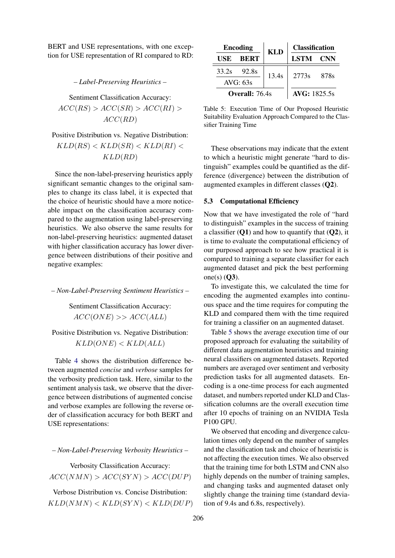BERT and USE representations, with one exception for USE representation of RI compared to RD:

*– Label-Preserving Heuristics –*

Sentiment Classification Accuracy:

 $ACC(RS) > ACC(SR) > ACC(RI) >$  $ACC(RD)$ 

Positive Distribution vs. Negative Distribution:

 $KLD(RS) < KLD(SR) < KLD(RI) <$  $KLD(RD)$ 

Since the non-label-preserving heuristics apply significant semantic changes to the original samples to change its class label, it is expected that the choice of heuristic should have a more noticeable impact on the classification accuracy compared to the augmentation using label-preserving heuristics. We also observe the same results for non-label-preserving heuristics: augmented dataset with higher classification accuracy has lower divergence between distributions of their positive and negative examples:

*– Non-Label-Preserving Sentiment Heuristics –*

Sentiment Classification Accuracy:  $ACC(ONE) >> ACC(ALL)$ 

Positive Distribution vs. Negative Distribution:  $KLD(ONE) < KLD(ALL)$ 

Table [4](#page-5-2) shows the distribution difference between augmented *concise* and *verbose* samples for the verbosity prediction task. Here, similar to the sentiment analysis task, we observe that the divergence between distributions of augmented concise and verbose examples are following the reverse order of classification accuracy for both BERT and USE representations:

*– Non-Label-Preserving Verbosity Heuristics –*

Verbosity Classification Accuracy:  $ACC(NMN) > ACC(SYN) > ACC(DUP)$ 

Verbose Distribution vs. Concise Distribution:  $KLD(NMN) < KLD(SYN) < KLD(DUP)$ 

<span id="page-6-0"></span>

| <b>Encoding</b> |             | <b>KLD</b> | <b>Classification</b> |       |
|-----------------|-------------|------------|-----------------------|-------|
| USE             | <b>BERT</b> |            | LSTM CNN              |       |
| 33.2s           | 92.8s       | 13.4s      | 2773s                 | -878s |
| AVG: 63s        |             |            |                       |       |
| Overall: 76.4s  |             |            | <b>AVG</b> : 1825.5s  |       |

Table 5: Execution Time of Our Proposed Heuristic Suitability Evaluation Approach Compared to the Classifier Training Time

These observations may indicate that the extent to which a heuristic might generate "hard to distinguish" examples could be quantified as the difference (divergence) between the distribution of augmented examples in different classes (Q2).

#### 5.3 Computational Efficiency

Now that we have investigated the role of "hard to distinguish" examples in the success of training a classifier  $(01)$  and how to quantify that  $(02)$ , it is time to evaluate the computational efficiency of our purposed approach to see how practical it is compared to training a separate classifier for each augmented dataset and pick the best performing one(s)  $(Q3)$ .

To investigate this, we calculated the time for encoding the augmented examples into continuous space and the time requires for computing the KLD and compared them with the time required for training a classifier on an augmented dataset.

Table [5](#page-6-0) shows the average execution time of our proposed approach for evaluating the suitability of different data augmentation heuristics and training neural classifiers on augmented datasets. Reported numbers are averaged over sentiment and verbosity prediction tasks for all augmented datasets. Encoding is a one-time process for each augmented dataset, and numbers reported under KLD and Classification columns are the overall execution time after 10 epochs of training on an NVIDIA Tesla P100 GPU.

We observed that encoding and divergence calculation times only depend on the number of samples and the classification task and choice of heuristic is not affecting the execution times. We also observed that the training time for both LSTM and CNN also highly depends on the number of training samples, and changing tasks and augmented dataset only slightly change the training time (standard deviation of 9.4s and 6.8s, respectively).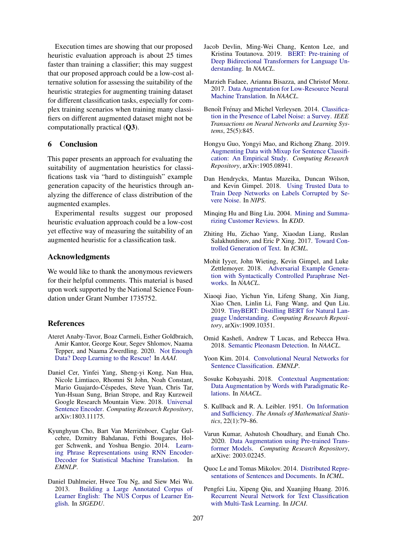Execution times are showing that our proposed heuristic evaluation approach is about 25 times faster than training a classifier; this may suggest that our proposed approach could be a low-cost alternative solution for assessing the suitability of the heuristic strategies for augmenting training dataset for different classification tasks, especially for complex training scenarios when training many classifiers on different augmented dataset might not be computationally practical (Q3).

# 6 Conclusion

This paper presents an approach for evaluating the suitability of augmentation heuristics for classifications task via "hard to distinguish" example generation capacity of the heuristics through analyzing the difference of class distribution of the augmented examples.

Experimental results suggest our proposed heuristic evaluation approach could be a low-cost yet effective way of measuring the suitability of an augmented heuristic for a classification task.

# Acknowledgments

We would like to thank the anonymous reviewers for their helpful comments. This material is based upon work supported by the National Science Foundation under Grant Number 1735752.

#### References

- <span id="page-7-8"></span>Ateret Anaby-Tavor, Boaz Carmeli, Esther Goldbraich, Amir Kantor, George Kour, Segev Shlomov, Naama Tepper, and Naama Zwerdling. 2020. [Not Enough](http://arxiv.org/abs/1911.03118) [Data? Deep Learning to the Rescue!](http://arxiv.org/abs/1911.03118) In *AAAI*.
- <span id="page-7-13"></span>Daniel Cer, Yinfei Yang, Sheng-yi Kong, Nan Hua, Nicole Limtiaco, Rhomni St John, Noah Constant, Mario Guajardo-Céspedes, Steve Yuan, Chris Tar, Yun-Hsuan Sung, Brian Strope, and Ray Kurzweil Google Research Mountain View. 2018. [Universal](https://arxiv.org/pdf/1803.11175.pdf) [Sentence Encoder.](https://arxiv.org/pdf/1803.11175.pdf) *Computing Research Repository*, arXiv:1803.11175.
- <span id="page-7-11"></span>Kyunghyun Cho, Bart Van Merriënboer, Caglar Gulcehre, Dzmitry Bahdanau, Fethi Bougares, Holger Schwenk, and Yoshua Bengio. 2014. [Learn](https://www.aclweb.org/anthology/D14-1179)[ing Phrase Representations using RNN Encoder-](https://www.aclweb.org/anthology/D14-1179)[Decoder for Statistical Machine Translation.](https://www.aclweb.org/anthology/D14-1179) In *EMNLP*.
- <span id="page-7-16"></span>Daniel Dahlmeier, Hwee Tou Ng, and Siew Mei Wu. 2013. [Building a Large Annotated Corpus of](https://www.aclweb.org/anthology/W13-1703/) [Learner English: The NUS Corpus of Learner En](https://www.aclweb.org/anthology/W13-1703/)[glish.](https://www.aclweb.org/anthology/W13-1703/) In *SIGEDU*.
- <span id="page-7-14"></span>Jacob Devlin, Ming-Wei Chang, Kenton Lee, and Kristina Toutanova. 2019. [BERT: Pre-training of](https://github.com/tensorflow/tensor2tensor) [Deep Bidirectional Transformers for Language Un](https://github.com/tensorflow/tensor2tensor)[derstanding.](https://github.com/tensorflow/tensor2tensor) In *NAACL*.
- <span id="page-7-5"></span>Marzieh Fadaee, Arianna Bisazza, and Christof Monz. 2017. [Data Augmentation for Low-Resource Neural](https://www.aclweb.org/anthology/P17-2090/) [Machine Translation.](https://www.aclweb.org/anthology/P17-2090/) In *NAACL*.
- <span id="page-7-0"></span>Benoît Frénay and Michel Verleysen. 2014. [Classifica](https://ieeexplore.ieee.org/document/6685834)[tion in the Presence of Label Noise: a Survey.](https://ieeexplore.ieee.org/document/6685834) *IEEE Transactions on Neural Networks and Learning Systems*, 25(5):845.
- <span id="page-7-4"></span>Hongyu Guo, Yongyi Mao, and Richong Zhang. 2019. [Augmenting Data with Mixup for Sentence Classifi](http://arxiv.org/abs/1905.08941)[cation: An Empirical Study.](http://arxiv.org/abs/1905.08941) *Computing Research Repository*, arXiv:1905.08941.
- <span id="page-7-1"></span>Dan Hendrycks, Mantas Mazeika, Duncan Wilson, and Kevin Gimpel. 2018. [Using Trusted Data to](https://arxiv.org/abs/1802.05300) [Train Deep Networks on Labels Corrupted by Se](https://arxiv.org/abs/1802.05300)[vere Noise.](https://arxiv.org/abs/1802.05300) In *NIPS*.
- <span id="page-7-15"></span>Minqing Hu and Bing Liu. 2004. [Mining and Summa](https://dl.acm.org/doi/10.1145/1014052.1014073)[rizing Customer Reviews.](https://dl.acm.org/doi/10.1145/1014052.1014073) In *KDD*.
- <span id="page-7-6"></span>Zhiting Hu, Zichao Yang, Xiaodan Liang, Ruslan Salakhutdinov, and Eric P Xing. 2017. [Toward Con](https://arxiv.org/abs/1703.00955)[trolled Generation of Text.](https://arxiv.org/abs/1703.00955) In *ICML*.
- <span id="page-7-7"></span>Mohit Iyyer, John Wieting, Kevin Gimpel, and Luke Zettlemoyer. 2018. [Adversarial Example Genera](https://www.aclweb.org/anthology/N18-1170.pdf)[tion with Syntactically Controlled Paraphrase Net](https://www.aclweb.org/anthology/N18-1170.pdf)[works.](https://www.aclweb.org/anthology/N18-1170.pdf) In *NAACL*.
- <span id="page-7-3"></span>Xiaoqi Jiao, Yichun Yin, Lifeng Shang, Xin Jiang, Xiao Chen, Linlin Li, Fang Wang, and Qun Liu. 2019. [TinyBERT: Distilling BERT for Natural Lan](http://arxiv.org/abs/1909.10351)[guage Understanding.](http://arxiv.org/abs/1909.10351) *Computing Research Repository*, arXiv:1909.10351.
- <span id="page-7-17"></span>Omid Kashefi, Andrew T Lucas, and Rebecca Hwa. 2018. [Semantic Pleonasm Detection.](https://www.aclweb.org/anthology/N18-2036/) In *NAACL*.
- <span id="page-7-19"></span>Yoon Kim. 2014. [Convolutional Neural Networks for](http://arxiv.org/abs/1408.5882) [Sentence Classification.](http://arxiv.org/abs/1408.5882) *EMNLP*.
- <span id="page-7-2"></span>Sosuke Kobayashi. 2018. [Contextual Augmentation:](https://www.aclweb.org/anthology/N18-2072/) [Data Augmentation by Words with Paradigmatic Re](https://www.aclweb.org/anthology/N18-2072/)[lations.](https://www.aclweb.org/anthology/N18-2072/) In *NAACL*.
- <span id="page-7-10"></span>S. Kullback and R. A. Leibler. 1951. [On Information](https://doi.org/10.1214/aoms/1177729694) [and Sufficiency.](https://doi.org/10.1214/aoms/1177729694) *The Annals of Mathematical Statistics*, 22(1):79–86.
- <span id="page-7-9"></span>Varun Kumar, Ashutosh Choudhary, and Eunah Cho. 2020. [Data Augmentation using Pre-trained Trans](http://arxiv.org/abs/2003.02245)[former Models.](http://arxiv.org/abs/2003.02245) *Computing Research Repository*, arXive: 2003.02245.
- <span id="page-7-12"></span>Quoc Le and Tomas Mikolov. 2014. [Distributed Repre](http://proceedings.mlr.press/v32/le14.pdf)[sentations of Sentences and Documents.](http://proceedings.mlr.press/v32/le14.pdf) In *ICML*.
- <span id="page-7-18"></span>Pengfei Liu, Xipeng Qiu, and Xuanjing Huang. 2016. [Recurrent Neural Network for Text Classification](https://www.ijcai.org/Proceedings/16/Papers/408.pdf) [with Multi-Task Learning.](https://www.ijcai.org/Proceedings/16/Papers/408.pdf) In *IJCAI*.